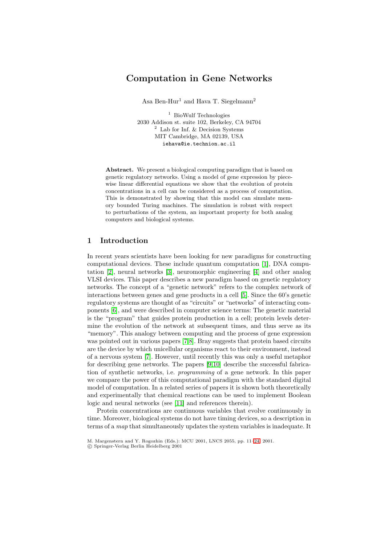# **Computation in Gene Networks**

Asa Ben-Hur<sup>1</sup> and Hava T. Siegelmann<sup>2</sup>

<sup>1</sup> BioWulf Technologies 2030 Addison st. suite 102, Berkeley, CA 94704 <sup>2</sup> Lab for Inf. & Decision Systems MIT Cambridge, MA 02139, USA iehava@ie.technion.ac.il

**Abstract.** We present a biological computing paradigm that is based on genetic regulatory networks. Using a model of gene expression by piecewise linear differential equations we show that the evolution of protein concentrations in a cell can be considered as a process of computation. This is demonstrated by showing that this model can simulate memory bounded Turing machines. The simulation is robust with respect to perturbations of the system, an important property for both analog computers and biological systems.

#### **1 Introduction**

In recent years scientists have been looking for new paradigms for constructing computational devices. These include quantum computation [\[1\]](#page-11-0), DNA computation [\[2\]](#page-11-0), neural networks [\[3\]](#page-11-0), neuromorphic engineering [\[4\]](#page-11-0) and other analog VLSI devices. This paper describes a new paradigm based on genetic regulatory networks. The concept of a "genetic network" refers to the complex network of interactions between genes and gene products in a cell [\[5\]](#page-11-0). Since the 60's genetic regulatory systems are thought of as "circuits" or "networks" of interacting components [\[6\]](#page-11-0), and were described in computer science terms: The genetic material is the "program" that guides protein production in a cell; protein levels determine the evolution of the network at subsequent times, and thus serve as its "memory". This analogy between computing and the process of gene expression was pointed out in various papers [\[7](#page-11-0)[,8\]](#page-12-0). Bray suggests that protein based circuits are the device by which unicellular organisms react to their environment, instead of a nervous system [\[7\]](#page-11-0). However, until recently this was only a useful metaphor for describing gene networks. The papers [\[9,10\]](#page-12-0) describe the successful fabrication of synthetic networks, i.e. programming of a gene network. In this paper we compare the power of this computational paradigm with the standard digital model of computation. In a related series of papers it is shown both theoretically and experimentally that chemical reactions can be used to implement Boolean logic and neural networks (see [\[11\]](#page-12-0) and references therein).

Protein concentrations are continuous variables that evolve continuously in time. Moreover, biological systems do not have timing devices, so a description in terms of a map that simultaneously updates the system variables is inadequate. It

M. Margenstern and Y. Rogozhin (Eds.): MCU 2001, LNCS 2055, pp. 11[–24,](#page-13-0) 2001.

c Springer-Verlag Berlin Heidelberg 2001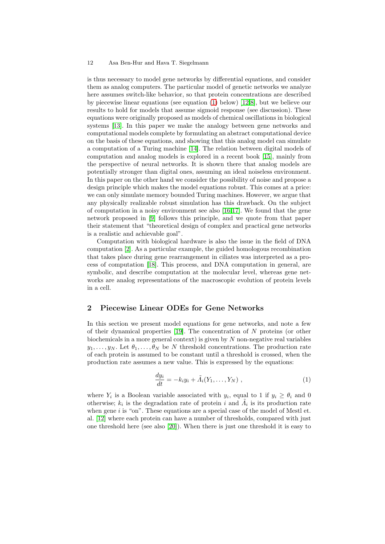<span id="page-1-0"></span>is thus necessary to model gene networks by differential equations, and consider them as analog computers. The particular model of genetic networks we analyze here assumes switch-like behavior, so that protein concentrations are described by piecewise linear equations (see equation (1) below) [\[12,8\]](#page-12-0), but we believe our results to hold for models that assume sigmoid response (see discussion). These equations were originally proposed as models of chemical oscillations in biological systems [\[13\]](#page-12-0). In this paper we make the analogy between gene networks and computational models complete by formulating an abstract computational device on the basis of these equations, and showing that this analog model can simulate a computation of a Turing machine [\[14\]](#page-12-0). The relation between digital models of computation and analog models is explored in a recent book [\[15\]](#page-12-0), mainly from the perspective of neural networks. It is shown there that analog models are potentially stronger than digital ones, assuming an ideal noiseless environment. In this paper on the other hand we consider the possibility of noise and propose a design principle which makes the model equations robust. This comes at a price: we can only simulate memory bounded Turing machines. However, we argue that any physically realizable robust simulation has this drawback. On the subject of computation in a noisy environment see also [\[16,17\]](#page-12-0). We found that the gene network proposed in [\[9\]](#page-12-0) follows this principle, and we quote from that paper their statement that "theoretical design of complex and practical gene networks is a realistic and achievable goal".

Computation with biological hardware is also the issue in the field of DNA computation [\[2\]](#page-11-0). As a particular example, the guided homologous recombination that takes place during gene rearrangement in ciliates was interpreted as a process of computation [\[18\]](#page-12-0). This process, and DNA computation in general, are symbolic, and describe computation at the molecular level, whereas gene networks are analog representations of the macroscopic evolution of protein levels in a cell.

## **2 Piecewise Linear ODEs for Gene Networks**

In this section we present model equations for gene networks, and note a few of their dynamical properties [\[19\]](#page-12-0). The concentration of N proteins (or other biochemicals in a more general context) is given by  $N$  non-negative real variables  $y_1,\ldots,y_N$ . Let  $\theta_1,\ldots,\theta_N$  be N threshold concentrations. The production rate of each protein is assumed to be constant until a threshold is crossed, when the production rate assumes a new value. This is expressed by the equations:

$$
\frac{dy_i}{dt} = -k_i y_i + \tilde{A}_i(Y_1, \dots, Y_N) , \qquad (1)
$$

where  $Y_i$  is a Boolean variable associated with  $y_i$ , equal to 1 if  $y_i \geq \theta_i$  and 0 otherwise;  $k_i$  is the degradation rate of protein i and  $\Lambda_i$  is its production rate when gene  $i$  is "on". These equations are a special case of the model of Mestl et. al. [\[12\]](#page-12-0) where each protein can have a number of thresholds, compared with just one threshold here (see also [\[20\]](#page-12-0)). When there is just one threshold it is easy to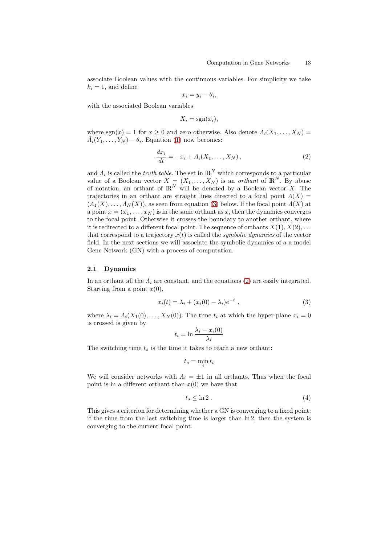<span id="page-2-0"></span>associate Boolean values with the continuous variables. For simplicity we take  $k_i = 1$ , and define

$$
x_i = y_i - \theta_i,
$$

with the associated Boolean variables

$$
X_i = \operatorname{sgn}(x_i),
$$

where sgn(x) = 1 for  $x > 0$  and zero otherwise. Also denote  $\Lambda_i(X_1,\ldots,X_N)$  =  $\tilde{\Lambda}_i(Y_1,\ldots,Y_N) - \theta_i$ . Equation [\(1\)](#page-1-0) now becomes:

$$
\frac{dx_i}{dt} = -x_i + A_i(X_1, \dots, X_N),\tag{2}
$$

and  $\Lambda_i$  is called the *truth table*. The set in  $\mathbb{R}^N$  which corresponds to a particular value of a Boolean vector  $X = (X_1, \ldots, X_N)$  is an *orthant* of  $\mathbb{R}^N$ . By abuse of notation, an orthant of  $\mathbb{R}^N$  will be denoted by a Boolean vector X. The trajectories in an orthant are straight lines directed to a focal point  $\Lambda(X)$  =  $(A_1(X),...,A_N(X))$ , as seen from equation (3) below. If the focal point  $A(X)$  at a point  $x = (x_1, \ldots, x_N)$  is in the same orthant as x, then the dynamics converges to the focal point. Otherwise it crosses the boundary to another orthant, where it is redirected to a different focal point. The sequence of orthants  $X(1), X(2),...$ that correspond to a trajectory  $x(t)$  is called the *symbolic dynamics* of the vector field. In the next sections we will associate the symbolic dynamics of a a model Gene Network (GN) with a process of computation.

#### **2.1 Dynamics**

In an orthant all the  $\Lambda_i$  are constant, and the equations (2) are easily integrated. Starting from a point  $x(0)$ ,

$$
x_i(t) = \lambda_i + (x_i(0) - \lambda_i)e^{-t}, \qquad (3)
$$

where  $\lambda_i = \Lambda_i(X_1(0),...,X_N(0))$ . The time  $t_i$  at which the hyper-plane  $x_i = 0$ is crossed is given by

$$
t_i = \ln \frac{\lambda_i - x_i(0)}{\lambda_i}
$$

The switching time  $t_s$  is the time it takes to reach a new orthant:

$$
t_s = \min_i t_i
$$

We will consider networks with  $\Lambda_i = \pm 1$  in all orthants. Thus when the focal point is in a different orthant than  $x(0)$  we have that

$$
t_s \leq \ln 2 \tag{4}
$$

This gives a criterion for determining whether a GN is converging to a fixed point: if the time from the last switching time is larger than ln 2, then the system is converging to the current focal point.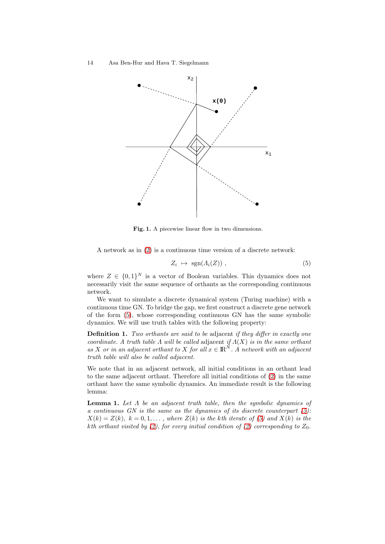

Fig. 1. A piecewise linear flow in two dimensions.

A network as in [\(2\)](#page-2-0) is a continuous time version of a discrete network:

$$
Z_i \ \mapsto \ \text{sgn}(A_i(Z)) \ , \tag{5}
$$

where  $Z \in \{0,1\}^N$  is a vector of Boolean variables. This dynamics does not necessarily visit the same sequence of orthants as the corresponding continuous network.

We want to simulate a discrete dynamical system (Turing machine) with a continuous time GN. To bridge the gap, we first construct a discrete gene network of the form (5), whose corresponding continuous GN has the same symbolic dynamics. We will use truth tables with the following property:

**Definition 1.** Two orthants are said to be adjacent if they differ in exactly one coordinate. A truth table  $\Lambda$  will be called adjacent if  $\Lambda(X)$  is in the same orthant as X or in an adjacent orthant to X for all  $x \in \mathbb{R}^N$ . A network with an adjacent truth table will also be called adjacent.

We note that in an adjacent network, all initial conditions in an orthant lead to the same adjacent orthant. Therefore all initial conditions of [\(2\)](#page-2-0) in the same orthant have the same symbolic dynamics. An immediate result is the following lemma:

**Lemma 1.** Let  $\Lambda$  be an adjacent truth table, then the symbolic dynamics of a continuous GN is the same as the dynamics of its discrete counterpart  $(5)$ :  $X(k) = Z(k), k = 0, 1, \ldots$ , where  $Z(k)$  is the kth iterate of (5) and  $X(k)$  is the kth orthant visited by [\(2\)](#page-2-0), for every initial condition of (2) corresponding to  $Z_0$ .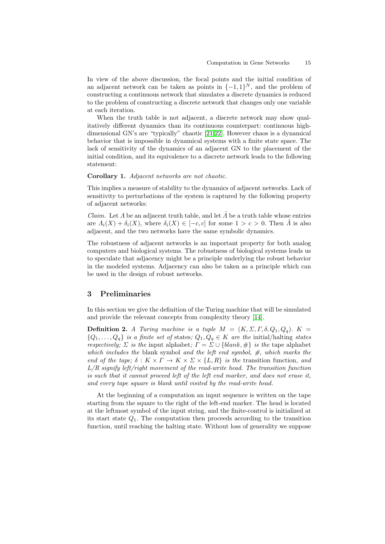<span id="page-4-0"></span>In view of the above discussion, the focal points and the initial condition of an adjacent network can be taken as points in  $\{-1, 1\}^N$ , and the problem of constructing a continuous network that simulates a discrete dynamics is reduced to the problem of constructing a discrete network that changes only one variable at each iteration.

When the truth table is not adjacent, a discrete network may show qualitatively different dynamics than its continuous counterpart: continuous highdimensional GN's are "typically" chaotic [\[21,22\]](#page-12-0). However chaos is a dynamical behavior that is impossible in dynamical systems with a finite state space. The lack of sensitivity of the dynamics of an adjacent GN to the placement of the initial condition, and its equivalence to a discrete network leads to the following statement:

**Corollary 1.** Adjacent networks are not chaotic.

This implies a measure of stability to the dynamics of adjacent networks. Lack of sensitivity to perturbations of the system is captured by the following property of adjacent networks:

*Claim.* Let  $\Lambda$  be an adjacent truth table, and let  $\Lambda$  be a truth table whose entries are  $\Lambda_i(X) + \delta_i(X)$ , where  $\delta_i(X) \in [-c, c]$  for some  $1 > c > 0$ . Then  $\Lambda$  is also adjacent, and the two networks have the same symbolic dynamics.

The robustness of adjacent networks is an important property for both analog computers and biological systems. The robustness of biological systems leads us to speculate that adjacency might be a principle underlying the robust behavior in the modeled systems. Adjacency can also be taken as a principle which can be used in the design of robust networks.

## **3 Preliminaries**

In this section we give the definition of the Turing machine that will be simulated and provide the relevant concepts from complexity theory [\[14\]](#page-12-0).

**Definition 2.** A Turing machine is a tuple  $M = (K, \Sigma, \Gamma, \delta, Q_1, Q_q)$ .  $K =$  ${Q_1, \ldots, Q_q}$  is a finite set of states;  $Q_1, Q_q \in K$  are the initial/halting states respectively;  $\Sigma$  is the input alphabet;  $\Gamma = \Sigma \cup \{blank, \# \}$  is the tape alphabet which includes the blank symbol and the left end symbol,  $\#$ , which marks the end of the tape;  $\delta: K \times \Gamma \to K \times \Sigma \times \{L, R\}$  is the transition function, and  $L/R$  signify left/right movement of the read-write head. The transition function is such that it cannot proceed left of the left end marker, and does not erase it, and every tape square is blank until visited by the read-write head.

At the beginning of a computation an input sequence is written on the tape starting from the square to the right of the left-end marker. The head is located at the leftmost symbol of the input string, and the finite-control is initialized at its start state  $Q_1$ . The computation then proceeds according to the transition function, until reaching the halting state. Without loss of generality we suppose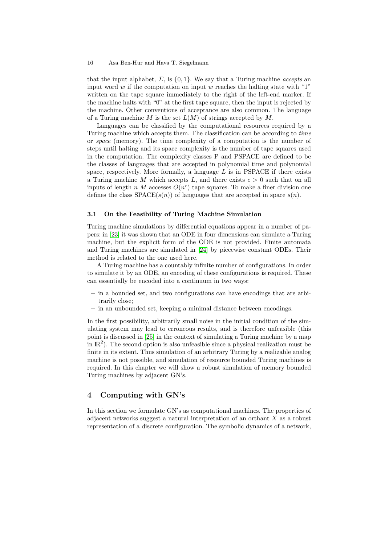that the input alphabet,  $\Sigma$ , is  $\{0,1\}$ . We say that a Turing machine *accepts* an input word  $w$  if the computation on input  $w$  reaches the halting state with "1" written on the tape square immediately to the right of the left-end marker. If the machine halts with "0" at the first tape square, then the input is rejected by the machine. Other conventions of acceptance are also common. The language of a Turing machine M is the set  $L(M)$  of strings accepted by M.

Languages can be classified by the computational resources required by a Turing machine which accepts them. The classification can be according to time or space (memory). The time complexity of a computation is the number of steps until halting and its space complexity is the number of tape squares used in the computation. The complexity classes P and PSPACE are defined to be the classes of languages that are accepted in polynomial time and polynomial space, respectively. More formally, a language  $L$  is in PSPACE if there exists a Turing machine M which accepts L, and there exists  $c > 0$  such that on all inputs of length n M accesses  $O(n^c)$  tape squares. To make a finer division one defines the class  $SPACE(s(n))$  of languages that are accepted in space  $s(n)$ .

#### **3.1 On the Feasibility of Turing Machine Simulation**

Turing machine simulations by differential equations appear in a number of papers: in [\[23\]](#page-12-0) it was shown that an ODE in four dimensions can simulate a Turing machine, but the explicit form of the ODE is not provided. Finite automata and Turing machines are simulated in [\[24\]](#page-12-0) by piecewise constant ODEs. Their method is related to the one used here.

A Turing machine has a countably infinite number of configurations. In order to simulate it by an ODE, an encoding of these configurations is required. These can essentially be encoded into a continuum in two ways:

- **–** in a bounded set, and two configurations can have encodings that are arbitrarily close;
- **–** in an unbounded set, keeping a minimal distance between encodings.

In the first possibility, arbitrarily small noise in the initial condition of the simulating system may lead to erroneous results, and is therefore unfeasible (this point is discussed in [\[25\]](#page-12-0) in the context of simulating a Turing machine by a map in  $\mathbb{R}^2$ ). The second option is also unfeasible since a physical realization must be finite in its extent. Thus simulation of an arbitrary Turing by a realizable analog machine is not possible, and simulation of resource bounded Turing machines is required. In this chapter we will show a robust simulation of memory bounded Turing machines by adjacent GN's.

# **4 Computing withGN's**

In this section we formulate GN's as computational machines. The properties of adjacent networks suggest a natural interpretation of an orthant X as a robust representation of a discrete configuration. The symbolic dynamics of a network,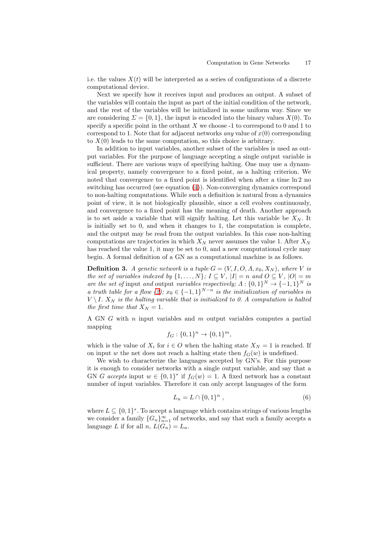i.e. the values  $X(t)$  will be interpreted as a series of configurations of a discrete computational device.

Next we specify how it receives input and produces an output. A subset of the variables will contain the input as part of the initial condition of the network, and the rest of the variables will be initialized in some uniform way. Since we are considering  $\Sigma = \{0, 1\}$ , the input is encoded into the binary values  $X(0)$ . To specify a specific point in the orthant  $X$  we choose -1 to correspond to 0 and 1 to correspond to 1. Note that for adjacent networks *any* value of  $x(0)$  corresponding to  $X(0)$  leads to the same computation, so this choice is arbitrary.

In addition to input variables, another subset of the variables is used as output variables. For the purpose of language accepting a single output variable is sufficient. There are various ways of specifying halting. One may use a dynamical property, namely convergence to a fixed point, as a halting criterion. We noted that convergence to a fixed point is identified when after a time  $\ln 2$  no switching has occurred (see equation [\(4\)](#page-2-0)). Non-converging dynamics correspond to non-halting computations. While such a definition is natural from a dynamics point of view, it is not biologically plausible, since a cell evolves continuously, and convergence to a fixed point has the meaning of death. Another approach is to set aside a variable that will signify halting. Let this variable be  $X_N$ . It is initially set to 0, and when it changes to 1, the computation is complete, and the output may be read from the output variables. In this case non-halting computations are trajectories in which  $X_N$  never assumes the value 1. After  $X_N$ has reached the value 1, it may be set to 0, and a new computational cycle may begin. A formal definition of a GN as a computational machine is as follows.

**Definition 3.** A genetic network is a tuple  $G = (V, I, O, A, x_0, X_N)$ , where V is the set of variables indexed by  $\{1,\ldots,N\}$ ;  $I \subseteq V$ ,  $|I| = n$  and  $O \subseteq V$ ,  $|O| = m$ are the set of input and output variables respectively;  $\Lambda : \{0,1\}^N \to \{-1,1\}^N$  is a truth table for a flow [\(2\)](#page-2-0);  $x_0 \in \{-1,1\}^{N-n}$  is the initialization of variables in  $V \setminus I$ .  $X_N$  is the halting variable that is initialized to 0. A computation is halted the first time that  $X_N = 1$ .

A GN G with n input variables and m output variables computes a partial mapping

$$
f_G: \{0,1\}^n \to \{0,1\}^m,
$$

which is the value of  $X_i$  for  $i \in O$  when the halting state  $X_N = 1$  is reached. If on input w the net does not reach a halting state then  $f_G(w)$  is undefined.

We wish to characterize the languages accepted by GN's. For this purpose it is enough to consider networks with a single output variable, and say that a GN G accepts input  $w \in \{0,1\}^*$  if  $f_G(w) = 1$ . A fixed network has a constant number of input variables. Therefore it can only accept languages of the form

$$
L_n = L \cap \{0, 1\}^n \tag{6}
$$

where  $L \subseteq \{0,1\}^*$ . To accept a language which contains strings of various lengths we consider a family  ${G_n}_{n=1}^{\infty}$  of networks, and say that such a family accepts a language L if for all  $n, L(G_n) = L_n$ .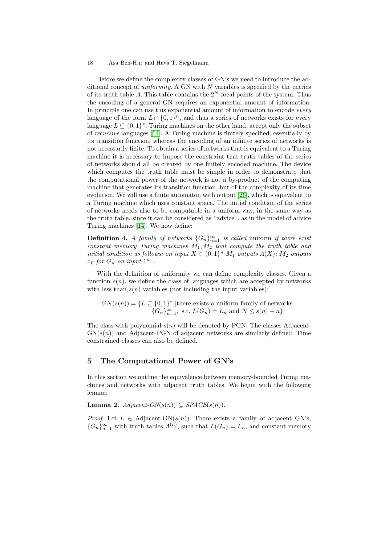Before we define the complexity classes of GN's we need to introduce the additional concept of *uniformity*. A GN with  $N$  variables is specified by the entries of its truth table Λ. This table contains the  $2^N$  focal points of the system. Thus the encoding of a general GN requires an exponential amount of information. In principle one can use this exponential amount of information to encode *every* language of the form  $L \cap \{0,1\}^n$ , and thus a series of networks exists for every language  $L \subset \{0,1\}^*$ . Turing machines on the other hand, accept only the subset of recursive languages [\[14\]](#page-12-0). A Turing machine is finitely specified, essentially by its transition function, whereas the encoding of an infinite series of networks is not necessarily finite. To obtain a series of networks that is equivalent to a Turing machine it is necessary to impose the constraint that truth tables of the series of networks should all be created by one finitely encoded machine. The device which computes the truth table must be simple in order to demonstrate that the computational power of the network is not a by-product of the computing machine that generates its transition function, but of the complexity of its time evolution. We will use a finite automaton with output [\[26\]](#page-12-0), which is equivalent to a Turing machine which uses constant space. The initial condition of the series of networks needs also to be computable in a uniform way, in the same way as the truth table, since it can be considered as "advice", as in the model of advice Turing machines [\[14\]](#page-12-0). We now define:

**Definition 4.** A family of networks  $\{G_n\}_{n=1}^{\infty}$  is called uniform if there exist constant memory Turing machines  $M_1, M_2$  that compute the truth table and initial condition as follows: on input  $X \in \{0,1\}^n$   $M_1$  outputs  $\Lambda(X)$ ;  $M_2$  outputs  $x_0$  for  $G_n$  on input  $1^n$ ...

With the definition of uniformity we can define complexity classes. Given a function  $s(n)$ , we define the class of languages which are accepted by networks with less than  $s(n)$  variables (not including the input variables):

 $GN(s(n)) = \{L \subseteq \{0,1\}^* \mid \text{there exists a uniform family of networks}\}$  ${G_n}_{n=1}^{\infty}$ , s.t.  $L(G_n) = L_n$  and  $N \leq s(n) + n$ 

The class with polynomial  $s(n)$  will be denoted by PGN. The classes Adjacent- $GN(s(n))$  and Adjacent-PGN of adjacent networks are similarly defined. Time constrained classes can also be defined.

# **5 The Computational Power of GN's**

In this section we outline the equivalence between memory-bounded Turing machines and networks with adjacent truth tables. We begin with the following lemma:

**Lemma 2.**  $Adjacent\text{-}GN(s(n)) \subseteq SPACE(s(n)).$ 

*Proof.* Let  $L \in \text{Adjacent-GN}(s(n))$ . There exists a family of adjacent GN's,  ${G_n}_{n=1}^{\infty}$  with truth tables  $\Lambda^{(n)}$ , such that  $L(G_n) = L_n$ , and constant memory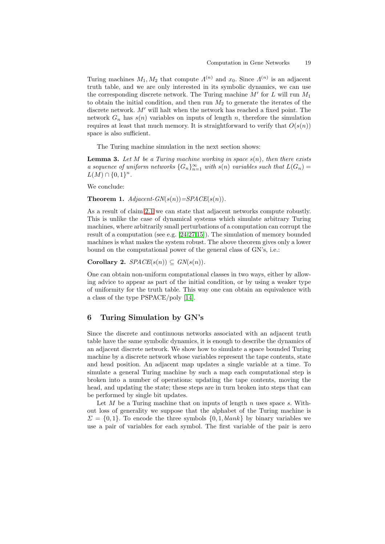<span id="page-8-0"></span>Turing machines  $M_1, M_2$  that compute  $\Lambda^{(n)}$  and  $x_0$ . Since  $\Lambda^{(n)}$  is an adjacent truth table, and we are only interested in its symbolic dynamics, we can use the corresponding discrete network. The Turing machine  $M'$  for L will run  $M_1$ to obtain the initial condition, and then run  $M_2$  to generate the iterates of the discrete network.  $M'$  will halt when the network has reached a fixed point. The network  $G_n$  has  $s(n)$  variables on inputs of length n, therefore the simulation requires at least that much memory. It is straightforward to verify that  $O(s(n))$ space is also sufficient.

The Turing machine simulation in the next section shows:

**Lemma 3.** Let M be a Turing machine working in space  $s(n)$ , then there exists a sequence of uniform networks  ${G_n}_{n=1}^{\infty}$  with  $s(n)$  variables such that  $L(G_n)$  $L(M) \cap \{0,1\}^n$ .

We conclude:

**Theorem 1.**  $Adjacent\text{-}GN(s(n)) = SPACE(s(n)).$ 

As a result of claim [2.1](#page-4-0) we can state that adjacent networks compute robustly. This is unlike the case of dynamical systems which simulate arbitrary Turing machines, where arbitrarily small perturbations of a computation can corrupt the result of a computation (see e.g. [\[24,27,15\]](#page-12-0)). The simulation of memory bounded machines is what makes the system robust. The above theorem gives only a lower bound on the computational power of the general class of GN's, i.e.:

**Corollary 2.**  $SPACE(s(n)) \subseteq GN(s(n))$ .

One can obtain non-uniform computational classes in two ways, either by allowing advice to appear as part of the initial condition, or by using a weaker type of uniformity for the truth table. This way one can obtain an equivalence with a class of the type PSPACE/poly [\[14\]](#page-12-0).

# **6 Turing Simulation by GN's**

Since the discrete and continuous networks associated with an adjacent truth table have the same symbolic dynamics, it is enough to describe the dynamics of an adjacent discrete network. We show how to simulate a space bounded Turing machine by a discrete network whose variables represent the tape contents, state and head position. An adjacent map updates a single variable at a time. To simulate a general Turing machine by such a map each computational step is broken into a number of operations: updating the tape contents, moving the head, and updating the state; these steps are in turn broken into steps that can be performed by single bit updates.

Let  $M$  be a Turing machine that on inputs of length  $n$  uses space  $s$ . Without loss of generality we suppose that the alphabet of the Turing machine is  $\Sigma = \{0, 1\}$ . To encode the three symbols  $\{0, 1, blank\}$  by binary variables we use a pair of variables for each symbol. The first variable of the pair is zero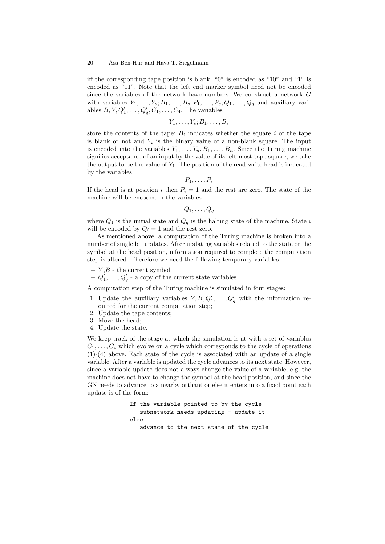iff the corresponding tape position is blank; "0" is encoded as "10" and "1" is encoded as "11". Note that the left end marker symbol need not be encoded since the variables of the network have numbers. We construct a network G with variables  $Y_1, \ldots, Y_s; B_1, \ldots, B_s; P_1, \ldots, P_s; Q_1, \ldots, Q_q$  and auxiliary variables  $B, Y, Q'_1, \ldots, Q'_q, C_1, \ldots, C_4$ . The variables

$$
Y_1,\ldots,Y_s;B_1,\ldots,B_s
$$

store the contents of the tape:  $B_i$  indicates whether the square i of the tape is blank or not and  $Y_i$  is the binary value of a non-blank square. The input is encoded into the variables  $Y_1, \ldots, Y_n, B_1, \ldots, B_n$ . Since the Turing machine signifies acceptance of an input by the value of its left-most tape square, we take the output to be the value of  $Y_1$ . The position of the read-write head is indicated by the variables

 $P_1,\ldots,P_s$ 

If the head is at position i then  $P_i = 1$  and the rest are zero. The state of the machine will be encoded in the variables

$$
Q_1,\ldots,Q_q
$$

where  $Q_1$  is the initial state and  $Q_q$  is the halting state of the machine. State i will be encoded by  $Q_i = 1$  and the rest zero.

As mentioned above, a computation of the Turing machine is broken into a number of single bit updates. After updating variables related to the state or the symbol at the head position, information required to complete the computation step is altered. Therefore we need the following temporary variables

- $Y, B$  the current symbol
- $-Q'_1, \ldots, Q'_q$  a copy of the current state variables.

A computation step of the Turing machine is simulated in four stages:

- 1. Update the auxiliary variables  $Y, B, Q'_1, \ldots, Q'_q$  with the information required for the current computation step;
- 2. Update the tape contents;
- 3. Move the head;
- 4. Update the state.

We keep track of the stage at which the simulation is at with a set of variables  $C_1,\ldots,C_4$  which evolve on a cycle which corresponds to the cycle of operations (1)-(4) above. Each state of the cycle is associated with an update of a single variable. After a variable is updated the cycle advances to its next state. However, since a variable update does not always change the value of a variable, e.g. the machine does not have to change the symbol at the head position, and since the GN needs to advance to a nearby orthant or else it enters into a fixed point each update is of the form:

> If the variable pointed to by the cycle subnetwork needs updating - update it else advance to the next state of the cycle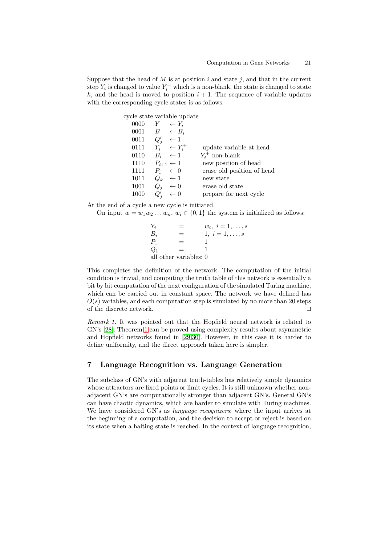Suppose that the head of  $M$  is at position  $i$  and state  $j$ , and that in the current step  $Y_i$  is changed to value  $Y_i^+$  which is a non-blank, the state is changed to state k, and the head is moved to position  $i + 1$ . The sequence of variable updates with the corresponding cycle states is as follows:

|      |        | cycle state variable update |                            |
|------|--------|-----------------------------|----------------------------|
| 0000 |        | $Y \leftarrow Y_i$          |                            |
| 0001 |        | $B \leftarrow B_i$          |                            |
| 0011 |        | $Q'_i \leftarrow 1$         |                            |
| 0111 |        | $Y_i^* \leftarrow Y_i^+$    | update variable at head    |
| 0110 |        | $B_i \leftarrow 1$          | $Y_i^+$ non-blank          |
| 1110 |        | $P_{i+1} \leftarrow 1$      | new position of head       |
| 1111 |        | $P_i \leftarrow 0$          | erase old position of head |
| 1011 |        | $Q_k \leftarrow 1$          | new state                  |
| 1001 |        | $Q_i \leftarrow 0$          | erase old state            |
| 1000 | $Q_i'$ | $\leftarrow 0$              | prepare for next cycle     |
|      |        |                             |                            |

At the end of a cycle a new cycle is initiated.

On input  $w = w_1w_2...w_n$ ,  $w_i \in \{0,1\}$  the system is initialized as follows:

 $Y_i = w_i, i = 1, ..., s$  $B_i = 1, i = 1, ..., s$  $P_1 = 1$  $Q_1 = 1$ all other variables: 0

This completes the definition of the network. The computation of the initial condition is trivial, and computing the truth table of this network is essentially a bit by bit computation of the next configuration of the simulated Turing machine, which can be carried out in constant space. The network we have defined has  $O(s)$  variables, and each computation step is simulated by no more than 20 steps of the discrete network.

Remark 1. It was pointed out that the Hopfield neural network is related to GN's [\[28\]](#page-12-0). Theorem [1](#page-8-0) can be proved using complexity results about asymmetric and Hopfield networks found in [\[29,](#page-12-0)[30\]](#page-13-0). However, in this case it is harder to define uniformity, and the direct approach taken here is simpler.

# **7 Language Recognition vs. Language Generation**

The subclass of GN's with adjacent truth-tables has relatively simple dynamics whose attractors are fixed points or limit cycles. It is still unknown whether nonadjacent GN's are computationally stronger than adjacent GN's. General GN's can have chaotic dynamics, which are harder to simulate with Turing machines. We have considered GN's as *language recognizers*: where the input arrives at the beginning of a computation, and the decision to accept or reject is based on its state when a halting state is reached. In the context of language recognition,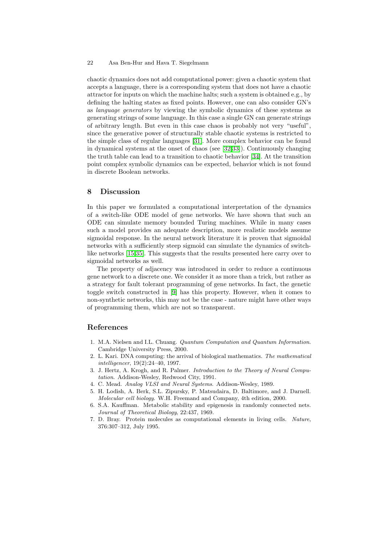<span id="page-11-0"></span>chaotic dynamics does not add computational power: given a chaotic system that accepts a language, there is a corresponding system that does not have a chaotic attractor for inputs on which the machine halts; such a system is obtained e.g., by defining the halting states as fixed points. However, one can also consider GN's as language generators by viewing the symbolic dynamics of these systems as generating strings of some language. In this case a single GN can generate strings of arbitrary length. But even in this case chaos is probably not very "useful", since the generative power of structurally stable chaotic systems is restricted to the simple class of regular languages [\[31\]](#page-13-0). More complex behavior can be found in dynamical systems at the onset of chaos (see [\[32,33\]](#page-13-0)). Continuously changing the truth table can lead to a transition to chaotic behavior [\[34\]](#page-13-0). At the transition point complex symbolic dynamics can be expected, behavior which is not found in discrete Boolean networks.

#### **8 Discussion**

In this paper we formulated a computational interpretation of the dynamics of a switch-like ODE model of gene networks. We have shown that such an ODE can simulate memory bounded Turing machines. While in many cases such a model provides an adequate description, more realistic models assume sigmoidal response. In the neural network literature it is proven that sigmoidal networks with a sufficiently steep sigmoid can simulate the dynamics of switchlike networks [\[15](#page-12-0)[,35\]](#page-13-0). This suggests that the results presented here carry over to sigmoidal networks as well.

The property of adjacency was introduced in order to reduce a continuous gene network to a discrete one. We consider it as more than a trick, but rather as a strategy for fault tolerant programming of gene networks. In fact, the genetic toggle switch constructed in [\[9\]](#page-12-0) has this property. However, when it comes to non-synthetic networks, this may not be the case - nature might have other ways of programming them, which are not so transparent.

## **References**

- 1. M.A. Nielsen and I.L. Chuang. Quantum Computation and Quantum Information. Cambridge University Press, 2000.
- 2. L. Kari. DNA computing: the arrival of biological mathematics. The mathematical intelligencer, 19(2):24–40, 1997.
- 3. J. Hertz, A. Krogh, and R. Palmer. Introduction to the Theory of Neural Computation. Addison-Wesley, Redwood City, 1991.
- 4. C. Mead. Analog VLSI and Neural Systems. Addison-Wesley, 1989.
- 5. H. Lodish, A. Berk, S.L. Zipursky, P. Matsudaira, D. Baltimore, and J. Darnell. Molecular cell biology. W.H. Freemand and Company, 4th edition, 2000.
- 6. S.A. Kauffman. Metabolic stability and epigenesis in randomly connected nets. Journal of Theoretical Biology, 22:437, 1969.
- 7. D. Bray. Protein molecules as computational elements in living cells. Nature, 376:307–312, July 1995.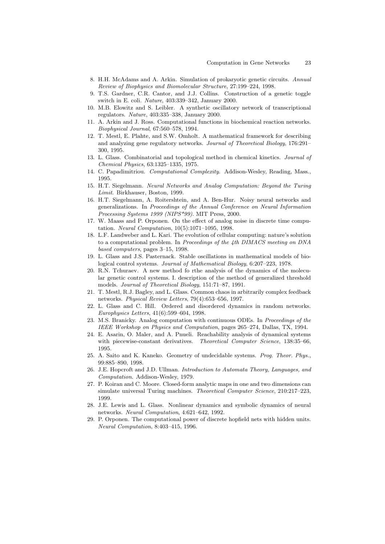- <span id="page-12-0"></span>8. H.H. McAdams and A. Arkin. Simulation of prokaryotic genetic circuits. Annual Review of Biophysics and Biomolecular Structure, 27:199–224, 1998.
- 9. T.S. Gardner, C.R. Cantor, and J.J. Collins. Construction of a genetic toggle switch in E. coli. Nature, 403:339–342, January 2000.
- 10. M.B. Elowitz and S. Leibler. A synthetic oscillatory network of transcriptional regulators. Nature, 403:335–338, January 2000.
- 11. A. Arkin and J. Ross. Computational functions in biochemical reaction networks. Biophysical Journal, 67:560–578, 1994.
- 12. T. Mestl, E. Plahte, and S.W. Omholt. A mathematical framework for describing and analyzing gene regulatory networks. Journal of Theoretical Biology, 176:291– 300, 1995.
- 13. L. Glass. Combinatorial and topological method in chemical kinetics. Journal of Chemical Physics, 63:1325–1335, 1975.
- 14. C. Papadimitriou. *Computational Complexity*. Addison-Wesley, Reading, Mass., 1995.
- 15. H.T. Siegelmann. Neural Networks and Analog Computation: Beyond the Turing Limit. Birkhauser, Boston, 1999.
- 16. H.T. Siegelmann, A. Roitershtein, and A. Ben-Hur. Noisy neural networks and generalizations. In Proceedings of the Annual Conference on Neural Information Processing Systems 1999 (NIPS\*99). MIT Press, 2000.
- 17. W. Maass and P. Orponen. On the effect of analog noise in discrete time computation. Neural Computation, 10(5):1071–1095, 1998.
- 18. L.F. Landweber and L. Kari. The evolution of cellular computing: nature's solution to a computational problem. In Proceedings of the 4th DIMACS meeting on DNA based computers, pages 3–15, 1998.
- 19. L. Glass and J.S. Pasternack. Stable oscillations in mathematical models of biological control systems. Journal of Mathematical Biology, 6:207–223, 1978.
- 20. R.N. Tchuraev. A new method fo rthe analysis of the dynamics of the molecular genetic control systems. I. description of the method of generalized threshold models. Journal of Theoretical Biology, 151:71–87, 1991.
- 21. T. Mestl, R.J. Bagley, and L. Glass. Common chaos in arbitrarily complex feedback networks. Physical Review Letters, 79(4):653–656, 1997.
- 22. L. Glass and C. Hill. Ordered and disordered dynamics in random networks. Europhysics Letters, 41(6):599–604, 1998.
- 23. M.S. Branicky. Analog computation with continuous ODEs. In Proceedings of the IEEE Workshop on Physics and Computation, pages 265–274, Dallas, TX, 1994.
- 24. E. Asarin, O. Maler, and A. Pnueli. Reachability analysis of dynamical systems with piecewise-constant derivatives. Theoretical Computer Science, 138:35–66, 1995.
- 25. A. Saito and K. Kaneko. Geometry of undecidable systems. Prog. Theor. Phys., 99:885–890, 1998.
- 26. J.E. Hopcroft and J.D. Ullman. Introduction to Automata Theory, Languages, and Computation. Addison-Wesley, 1979.
- 27. P. Koiran and C. Moore. Closed-form analytic maps in one and two dimensions can simulate universal Turing machines. Theoretical Computer Science, 210:217–223, 1999.
- 28. J.E. Lewis and L. Glass. Nonlinear dynamics and symbolic dynamics of neural networks. Neural Computation, 4:621–642, 1992.
- 29. P. Orponen. The computational power of discrete hopfield nets with hidden units. Neural Computation, 8:403–415, 1996.